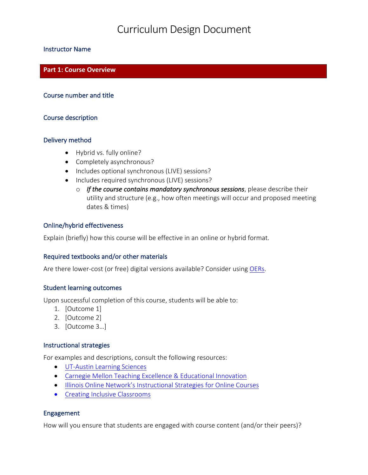## Curriculum Design Document

#### Instructor Name

#### **Part 1: Course Overview**

#### Course number and title

#### Course description

#### Delivery method

- Hybrid vs. fully online?
- Completely asynchronous?
- Includes optional synchronous (LIVE) sessions?
- Includes required synchronous (LIVE) sessions?
	- o *If the course contains mandatory synchronous sessions*, please describe their utility and structure (e.g., how often meetings will occur and proposed meeting dates & times)

#### Online/hybrid effectiveness

Explain (briefly) how this course will be effective in an online or hybrid format.

#### Required textbooks and/or other materials

Are there lower-cost (or free) digital versions available? Consider using OERs.

#### Student learning outcomes

Upon successful completion of this course, students will be able to:

- 1. [Outcome 1]
- 2. [Outcome 2]
- 3. [Outcome 3...]

#### Instructional strategies

For examples and descriptions, consult the following resources:

- UT-Austin Learning Sciences
- Carnegie Mellon Teaching Excellence & Educational Innovation
- Illinois Online Network's Instructional Strategies for Online Courses
- Creating Inclusive Classrooms

#### Engagement

How will you ensure that students are engaged with course content (and/or their peers)?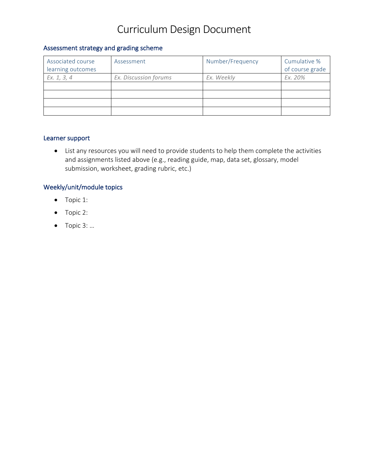# Curriculum Design Document

### Assessment strategy and grading scheme

| Associated course<br>learning outcomes | Assessment            | Number/Frequency | Cumulative %<br>of course grade |
|----------------------------------------|-----------------------|------------------|---------------------------------|
| Ex. 1, 3, 4                            | Ex. Discussion forums | Ex. Weekly       | Ex. 20%                         |
|                                        |                       |                  |                                 |
|                                        |                       |                  |                                 |
|                                        |                       |                  |                                 |
|                                        |                       |                  |                                 |

#### Learner support

• List any resources you will need to provide students to help them complete the activities and assignments listed above (e.g., reading guide, map, data set, glossary, model submission, worksheet, grading rubric, etc.)

#### Weekly/unit/module topics

- Topic 1:
- Topic 2:
- $\bullet$  Topic 3: ...